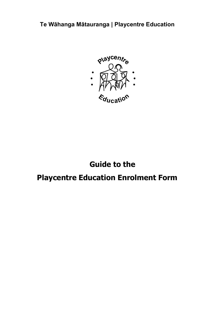**Te Wāhanga Mātauranga | Playcentre Education**



# **Guide to the**

## **Playcentre Education Enrolment Form**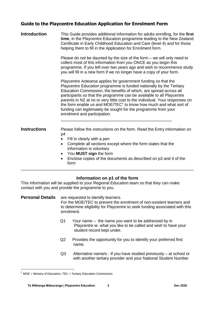## **Guide to the Playcentre Education Application for Enrolment Form**

| <b>Introduction</b> | This Guide provides additional information for adults enrolling, for the first<br>time, in the Playcentre Education programme leading to the New Zealand<br>Certificate in Early Childhood Education and Care (level 4) and for those<br>helping them to fill in the Application for Enrolment form.                                                                                                                                                                                                                                                    |  |  |
|---------------------|---------------------------------------------------------------------------------------------------------------------------------------------------------------------------------------------------------------------------------------------------------------------------------------------------------------------------------------------------------------------------------------------------------------------------------------------------------------------------------------------------------------------------------------------------------|--|--|
|                     | Please do not be daunted by the size of the form $-$ we will only need to<br>collect most of this information from you ONCE as you begin this<br>programme. If you left over two years ago and wish to recommence study<br>you will fill in a new form if we no longer have a copy of your form.                                                                                                                                                                                                                                                        |  |  |
|                     | Playcentre Aotearoa applies for government funding so that the<br>Playcentre Education programme is funded nationally by the Tertiary<br>Education Commission, the benefits of which, are spread across all<br>participants so that the programme can be available to all Playcentre<br>parents in NZ at no or very little cost to the individual. Your responses on<br>the form enable us and MOE/TEC <sup>1</sup> to know how much and what sort of<br>funding can legitimately be sought for the programme from your<br>enrolment and participation. |  |  |
| <b>Instructions</b> | Please follow the instructions on the form. Read the Entry information on<br>p4<br>Fill in clearly with a pen<br>$\bullet$<br>Complete all sections except where the form states that the<br>$\bullet$<br>information is voluntary<br>You MUST sign the form<br>$\bullet$<br>Enclose copies of the documents as described on p3 and 4 of the<br>form                                                                                                                                                                                                    |  |  |

## **Information on p1 of the form**

\_\_\_\_\_\_\_\_\_\_\_\_\_\_\_\_\_\_\_\_\_\_\_\_\_\_\_\_\_\_\_\_\_\_\_\_\_\_\_\_\_\_\_\_\_\_\_\_\_\_\_\_\_\_\_\_\_\_\_\_\_\_\_\_\_\_\_\_\_\_

This information will be supplied to your Regional Education team so that they can make contact with you and provide the programme to you.

### **Personal Details** are requested to identify learners.

For the MOE/TEC to prevent the enrolment of non-existent learners and to determine eligibility for Playcentre to seek funding associated with this enrolment.

- Q1 Your name the name you want to be addressed by in Playcentre ie. what you like to be called and wish to have your student record kept under.
- Q2 Provides the opportunity for you to identify your preferred first name.
- Q3 Alternative name/s If you have studied previously at school or with another tertiary provider and your National Student Number

1

MOE = Ministry of Education, TEC = Tertiary Education Commission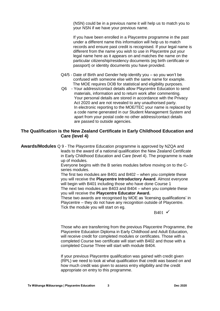(NSN) could be in a previous name it will help us to match you to your NSN if we have your previous name.

If you have been enrolled in a Playcentre programme in the past under a different name this information will help us to match records and ensure past credit is recognised. If your legal name is different from the name you wish to use in Playcentre put your legal name here as it appears on and matches the name on the particular citizenship/residency documents (eg birth certificate or passport) or identity documents you have provided.

- Q4/5 Date of Birth and Gender help identify you so you won't be confused with someone else with the same name for example. The MOE requires DOB for statistical and eligibility purposes.
- Q6 Your address/contact details allow Playcentre Education to send materials, information and to return work after commenting. Your personal details are stored in accordance with the Privacy Act 2020 and are not revealed to any unauthorised party. In electronic reporting to the MOE/TEC your name is replaced by a code name generated in our Student Management System and apart from your postal code no other address/contact details are passed to outside agencies.

## **The Qualification is the New Zealand Certificate in Early Childhood Education and Care (level 4)**

**Awards/Modules** Q 9 - The Playcentre Education programme is approved by NZQA and leads to the award of a national qualification the New Zealand Certificate in Early Childhood Education and Care (level 4). The programme is made up of modules.

> Everyone begins with the B series modules before moving on to the Cseries modules.

> The first two modules are B401 and B402 – when you complete these you will receive the **Playcentre Introductory Award**. Almost everyone will begin with B401 including those who have done Course 1 The next two modules are B403 and B404 – when you complete these

you will receive the **Playcentre Educator Award.**

These two awards are recognised by MOE as 'licensing qualifications' in Playcentre – they do not have any recognition outside of Playcentre. Tick the module you will start on eg.

 $B401 \checkmark$ 

Those who are transferring from the previous Playcentre Programme, the Playcentre Education Diploma in Early Childhood and Adult Education, will receive credit for completed modules or certificates. Those with a completed Course two certificate will start with B402 and those with a completed Course Three will start with module B404.

If your previous Playcentre qualification was gained with credit given (RPL) we need to look at what qualification that credit was based on and how much credit was given to assess entry eligibility and the credit appropriate on entry to this programme.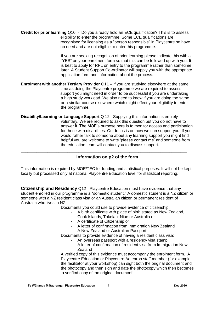**Credit for prior learning** Q10 - Do you already hold an ECE qualification? This is to assess eligibility to enter the programme. Some ECE qualifications are recognised for licensing as a "person responsible" in Playcentre so have no need and are not eligible to enter this programme.

> If you are seeking recognition of prior learning please indicate this with a "YES" on your enrolment form so that this can be followed up with you. It is best to apply for RPL on entry to the programme rather than sometime later. A Student Support Co-ordinator will supply you with the appropriate application form and information about the process.

- **Enrolment with another Tertiary Provider** Q11 If you are studying elsewhere at the same time as doing the Playcentre programme we are required to assess support you might need in order to be successful if you are undertaking a high study workload. We also need to know if you are doing the same or a similar course elsewhere which might effect your eligibility to enter the programme.
- **Disability/Learning or Language Support** Q 12 Supplying this information is entirely voluntary. We are required to ask this question but you do not have to answer it. The MOE's purpose here is to monitor access and participation for those with disabilities. Our focus is on how we can support you. If you would rather talk to someone about any learning support you might find helpful you are welcome to write 'please contact me' and someone from the education team will contact you to discuss support.

### **Information on p2 of the form**

\_\_\_\_\_\_\_\_\_\_\_\_\_\_\_\_\_\_\_\_\_\_\_\_\_\_\_\_\_\_\_\_\_\_\_\_\_\_\_\_\_\_\_\_\_\_\_\_\_\_\_\_\_\_\_\_\_\_\_\_\_\_\_\_\_\_\_\_\_\_\_\_\_\_\_

This information is required by MOE/TEC for funding and statistical purposes. It will not be kept locally but processed only at national Playcentre Education level for statistical reporting.

**Citizenship and Residency** Q12 - Playcentre Education must have evidence that any student enrolled in our programme is a "domestic student." A domestic student is a NZ citizen or someone with a NZ resident class visa or an Australian citizen or permanent resident of Australia who lives in NZ.

Documents you could use to provide evidence of citizenship:

- A birth certificate with place of birth stated as New Zealand,
	- Cook Islands, Tokelau, Niue or Australia or
- A certificate of Citizenship or
- A letter of confirmation from Immigration New Zealand
- A New Zealand or Australian Passport

Documents to provide evidence of having a resident class visa:

- An overseas passport with a residency visa stamp
- A letter of confirmation of resident visa from Immigration New **Zealand**

A verified copy of this evidence must accompany the enrolment form. A Playcentre Education or Playcentre Aotearoa staff member (for example the facilitator at your workshop) can sight both the original document and the photocopy and then sign and date the photocopy which then becomes 'a verified copy of the original document'.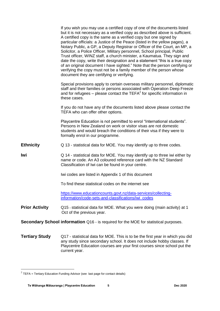|                       | If you wish you may use a certified copy of one of the documents listed<br>but it is not necessary as a verified copy as described above is sufficient.<br>A certified copy is the same as a verified copy but one signed by<br>particular officials: a Justice of the Peace (listed in the yellow pages), a<br>Notary Public, a GP, a Deputy Registrar or Officer of the Court, an MP, a<br>Solicitor, a Police Officer, Military personnel, School principal, Public<br>Trust officer, WINZ staff, a church minister, a Kaumatua. They sign and<br>date the copy, write their designation and a statement "this is a true copy<br>of an original document I have sighted." Note that the person certifying or<br>verifying the copy must not be a family member of the person whose<br>document they are certifying or verifying. |
|-----------------------|-------------------------------------------------------------------------------------------------------------------------------------------------------------------------------------------------------------------------------------------------------------------------------------------------------------------------------------------------------------------------------------------------------------------------------------------------------------------------------------------------------------------------------------------------------------------------------------------------------------------------------------------------------------------------------------------------------------------------------------------------------------------------------------------------------------------------------------|
|                       | Special provisions apply to certain overseas military personnel, diplomatic<br>staff and their families or persons associated with Operation Deep Freeze<br>and for refugees $-$ please contact the TEFA $2$ for specific information in<br>these cases.                                                                                                                                                                                                                                                                                                                                                                                                                                                                                                                                                                            |
|                       | If you do not have any of the documents listed above please contact the<br>TEFA who can offer other options.                                                                                                                                                                                                                                                                                                                                                                                                                                                                                                                                                                                                                                                                                                                        |
|                       | Playcentre Education is not permitted to enrol "International students".<br>Persons in New Zealand on work or visitor visas are not domestic<br>students and would breach the conditions of their visa if they were to<br>formally enrol in our programme.                                                                                                                                                                                                                                                                                                                                                                                                                                                                                                                                                                          |
| <b>Ethnicity</b>      | Q 13 - statistical data for MOE. You may identify up to three codes.                                                                                                                                                                                                                                                                                                                                                                                                                                                                                                                                                                                                                                                                                                                                                                |
| lwi                   | Q 14 - statistical data for MOE. You may identify up to three iwi either by<br>name or code. An A3 coloured reference card with the NZ Standard<br>Classification of Iwi can be found in your centre.                                                                                                                                                                                                                                                                                                                                                                                                                                                                                                                                                                                                                               |
|                       | Iwi codes are listed in Appendix 1 of this document                                                                                                                                                                                                                                                                                                                                                                                                                                                                                                                                                                                                                                                                                                                                                                                 |
|                       | To find these statistical codes on the internet see                                                                                                                                                                                                                                                                                                                                                                                                                                                                                                                                                                                                                                                                                                                                                                                 |
|                       | https://www.educationcounts.govt.nz/data-services/collecting-<br>information/code-sets-and-classifications/iwi_codes                                                                                                                                                                                                                                                                                                                                                                                                                                                                                                                                                                                                                                                                                                                |
| <b>Prior Activity</b> | Q15 - statistical data for MOE. What you were doing (main activity) at 1<br>Oct of the previous year.                                                                                                                                                                                                                                                                                                                                                                                                                                                                                                                                                                                                                                                                                                                               |
|                       | <b>Secondary School information</b> Q16 - is required for the MOE for statistical purposes.                                                                                                                                                                                                                                                                                                                                                                                                                                                                                                                                                                                                                                                                                                                                         |
| <b>Tertiary Study</b> | Q17 - statistical data for MOE. This is to be the first year in which you did<br>any study since secondary school. It does not include hobby classes. If<br>Playcentre Education courses are your first courses since school put the                                                                                                                                                                                                                                                                                                                                                                                                                                                                                                                                                                                                |

current year.

 2 TEFA = Tertiary Education Funding Advisor (see last page for contact details)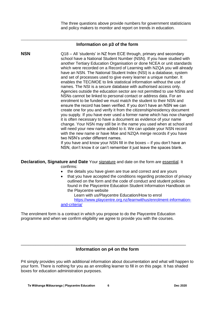The three questions above provide numbers for government statisticians and policy makers to monitor and report on trends in education.

#### **Information on p3 of the form**

\_\_\_\_\_\_\_\_\_\_\_\_\_\_\_\_\_\_\_\_\_\_\_\_\_\_\_\_\_\_\_\_\_\_\_\_\_\_\_\_\_\_\_\_\_\_\_\_\_\_\_\_\_\_\_\_\_\_\_\_\_\_\_\_\_\_\_\_\_\_\_\_\_\_\_

**NSN** Q18 – All 'students' in NZ from ECE through, primary and secondary school have a National Student Number (NSN). If you have studied with another Tertiary Education Organisation or done NCEA or unit standards which were recorded on a Record of Learning with NZQA you will already have an NSN. The National Student Index (NSI) is a database, system and set of processes used to give every learner a unique number. It enables the TEC/MOE to link statistical information without the use of names. The NSI is a secure database with authorised access only. Agencies outside the education sector are not permitted to use NSNs and NSNs cannot be linked to personal contact or address data. For an enrolment to be funded we must match the student to their NSN and ensure the record has been verified. If you don't have an NSN we can create one for you and verify it from the citizenship/residency document you supply. If you have ever used a former name which has now changed it is often necessary to have a document as evidence of your name change. Your NSN may still be in the name you used when at school and will need your new name added to it. We can update your NSN record with the new name or have Moe and NZQA merge records if you have two NSN's under different names.

If you have and know your NSN fill in the boxes – if you don't have an NSN, don't know it or can't remember it just leave the spaces blank.

**Declaration, Signature and Date** Your signature and date on the form are essential. It confirms:

- the details you have given are true and correct and are yours
- that you have accepted the conditions regarding protection of privacy outlined on the form and the code of conduct and student policies found in the Playcentre Education Student Information Handbook on the Playcentre website

Learn with us/Playcentre Education/How to enrol [https://www.playcentre.org.nz/learnwithus/enrolment-information](https://www.playcentre.org.nz/learnwithus/enrolment-information-and-criteria/)[and-criteria/](https://www.playcentre.org.nz/learnwithus/enrolment-information-and-criteria/)

The enrolment form is a contract in which you propose to do the Playcentre Education programme and when we confirm eligibility we agree to provide you with the courses.

### **Information on p4 on the form**

\_\_\_\_\_\_\_\_\_\_\_\_\_\_\_\_\_\_\_\_\_\_\_\_\_\_\_\_\_\_\_\_\_\_\_\_\_\_\_\_\_\_\_\_\_\_\_\_\_\_\_\_\_\_\_\_\_\_\_\_\_\_\_\_\_\_\_

P4 simply provides you with additional information about documentation and what will happen to your form. There is nothing for you as an enrolling learner to fill in on this page. It has shaded boxes for education administration purposes.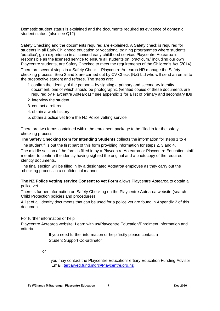Domestic student status is explained and the documents required as evidence of domestic student status. (also see Q12)

Safety Checking and the documents required are explained. A Safety check is required for students in all Early Childhood education or vocational training programmes where students 'practice', gain experience in a licensed early childhood service. Playcentre Aotearoa is responsible as the licensed service to ensure all students on 'practicum,' including our own Playcentre students, are Safety Checked to meet the requirements of the Children's Act (2014).

There are several steps in a Safety Check – Playcentre Aotearoa HR manage the Safety checking process. Step 2 and 3 are carried out by CV Check (NZ) Ltd who will send an email to the prospective student and referee. The steps are:

- 1.confirm the identity of the person by sighting a primary and secondary identity document, one of which should be photographic (verified copies of these documents are required by Playcentre Aotearoa) \* see appendix 1 for a list of primary and secondary IDs
- 2. interview the student
- 3. contact a referee
- 4. obtain a work history
- 5. obtain a police vet from the NZ Police vetting service

There are two forms contained within the enrolment package to be filled in for the safety checking process:

**The Safety Checking form for Intending Students** collects the information for steps 1 to 4.

The student fills out the first part of this form providing information for steps 2, 3 and 4.

The middle section of the form is filled in by a Playcentre Aotearoa or Playcentre Education staff member to confirm the identity having sighted the original and a photocopy of the required identity documents.

The final section will be filled in by a designated Aotearoa employee as they carry out the checking process in a confidential manner

**The NZ Police vetting service Consent to vet Form** allows Playcentre Aotearoa to obtain a police vet.

There is further information on Safety Checking on the Playcentre Aotearoa website (search Child Protection policies and procedures)

A list of all identity documents that can be used for a police vet are found in Appendix 2 of this document

For further information or help

Playcentre Aotearoa website: Learn with us/Playcentre Education/Enrolment Information and criteria

> If you need further information or help firstly please contact a Student Support Co-ordinator

or

 you may contact the Playcentre EducationTertiary Education Funding Advisor Email: [tertiaryed.fund.mgr@Playcentre.org.nz](mailto:tertiaryed.fund.mgr@Playcentre.org.nz)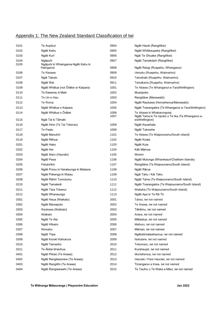## Appendix 1: The New Zealand Standard Classification of Iwi

| 0101 | Te Aupōuri                                        | 0904         | Ngāti Hauiti (Rangitīkei)                                                      |
|------|---------------------------------------------------|--------------|--------------------------------------------------------------------------------|
| 0102 | Ngāti Kahu                                        | 0905         | Ngāti Whitikaupeka (Rangitīkei)                                                |
| 0103 | Ngāti Kurī                                        | 0906         | Ngāi Te Ohuake (Rangitīkei)                                                    |
| 0104 | Ngāpuhi                                           | 0907         | Ngāti Tamakōpiri (Rangitīkei)                                                  |
| 0105 | Ngāpuhi ki Whaingaroa-Ngāti Kahu ki<br>'haingaroa | 0908         | Ngāti Rangi (Ruapehu, Whanganui)                                               |
| 0106 | Te Rarawa                                         | 0909         | Uenuku (Ruapehu, Waimarino)                                                    |
| 0107 | Ngāi Takoto                                       | 0910         | Tamahaki (Ruapehu, Waimarino)                                                  |
| 0108 | Ngāti Wai                                         | 0911         | Tamakana (Ruapehu, Waimarino)                                                  |
| 0109 | Ngāti Whātua (not Ōrākei or Kaipara)              | 1001         | Te Atiawa (Te Whanganui-a-Tara/Wellington)                                     |
| 0110 | Te Kawerau ā Maki                                 | 1002         | Muaūpoko                                                                       |
| 0111 | Te Uri-o-Hau                                      | 1003         | Rangitāne (Manawatū)                                                           |
| 0112 | Te Roroa                                          | 1004         | Ngāti Raukawa (Horowhenua/Manawatū)                                            |
| 0113 | Ngāti Whātua o Kaipara                            | 1005         | Ngāti Toarangatira (Te Whanganui-a-Tara/Wellington)                            |
| 0114 | Ngāti Whātua o Ōrākei                             | 1006<br>1007 | Te Atiawa ki Whakarongotai<br>Ngāti Tama ki Te Upoko o Te Ika (Te Whanganui-a- |
| 0115 | Ngāi Tai ki Tāmaki                                |              | ara/Wellington)                                                                |
| 0116 | Ngāti Hine (Te Tai Tokerau)                       | 1008         | Ngāti Kauwhata                                                                 |
| 0117 | Te Paatu                                          | 1009         | Ngāti Tukorehe                                                                 |
| 0118 | Ngāti Manuhiri                                    | 1101         | Te Atiawa (Te Waipounamu/South Island)                                         |
| 0119 | Ngāti Rēhua                                       | 1102         | Ngāti Koata                                                                    |
| 0201 | Ngāti Hako                                        | 1103         | Ngāti Kuia                                                                     |
| 0202 | Ngāti Hei                                         | 1104         | Kāti Māmoe                                                                     |
| 0203 | Ngāti Maru (Hauraki)                              | 1105         | Moriori                                                                        |
| 0204 | Ngāti Paoa                                        | 1106         | Ngāti Mutunga (Wharekauri/Chatham Islands)                                     |
| 0205 | Patukirikiri                                      | 1107         | Rangitāne (Te Waipounamu/South Island)                                         |
| 0206 | Ngāti Porou ki Harataunga ki Mataora              | 1108         | Ngāti Rārua                                                                    |
| 0207 | Ngāti Pūkenga ki Waiau                            | 1109         | Ngāi Tahu / Kāi Tahu                                                           |
| 0208 | Ngāti Rāhiri Tumutumu                             | 1110         | Ngāti Tama (Te Waipounamu/South Island)                                        |
| 0210 | Ngāti Tamaterā                                    | 1111         | Ngāti Toarangatira (Te Waipounamu/South Island)                                |
| 0211 | Ngāti Tara Tokanui                                | 1112         | Waitaha (Te Waipounamu/South Island)                                           |
| 0212 | Ngāti Whanaunga                                   | 1113         | Ngāti Apa ki Te Rā Tō                                                          |
| 0301 | Ngāti Haua (Waikato)                              | 2001         | Tainui, iwi not named                                                          |
| 0302 | Ngāti Maniapoto                                   | 2002         | Te Arawa, iwi not named                                                        |
| 0303 | Raukawa (Waikato)                                 | 2003         | Tākitimu, iwi not named                                                        |
| 0304 | Waikato                                           | 2004         | Aotea, iwi not named                                                           |
| 0305 | Ngāti Te Ata                                      | 2005         | Mātaatua, iwi not named                                                        |
| 0306 | Ngāti Hīkairo                                     | 2006         | Mahuru, iwi not named                                                          |
| 0307 | Rereahu                                           | 2007         | Māmari, iwi not named                                                          |
| 0308 | Ngāti Tiipa                                       | 2008         | Ngātokimatawhaorua, iwi not named                                              |
| 0309 | Ngāti Korokī Kahukura                             | 2009         | Nukutere, iwi not named                                                        |
| 0310 | Ngāti Tamaoho                                     | 2010         | Tokomaru, iwi not named                                                        |
| 0311 | Te Ākitai-Waiohua                                 | 2011         | Kurahaupō, iwi not named                                                       |
| 0401 | Ngāti Pikiao (Te Arawa)                           | 2012         | Muriwhenua, iwi not named                                                      |
| 0402 | Ngāti Rangiteaorere (Te Arawa)                    | 2013         | Hauraki / Pare Hauraki, iwi not named                                          |
| 0403 | Ngāti Rangitihi (Te Arawa)                        | 2014         | Tūranganui a Kiwa, iwi not named                                               |
| 0404 | Ngāti Rangiwewehi (Te Arawa)                      | 2015         | Te Tauihu o Te Waka a Māui, iwi not named                                      |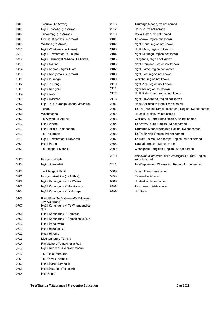| 0405 | Tapuika (Te Arawa)                                   | 2016 | Tauranga Moana, iwi not named                                    |
|------|------------------------------------------------------|------|------------------------------------------------------------------|
| 0406 | Ngāti Tarāwhai (Te Arawa)                            | 2017 | Horouta, iwi not named                                           |
| 0407 | Tūhourangi (Te Arawa)                                | 2018 | Mōkai Pātea, iwi not named                                       |
| 0408 | Uenuku-Kōpako (Te Arawa)                             | 2101 | Te Atiawa, region not known                                      |
| 0409 | Waitaha (Te Arawa)                                   | 2102 | Ngāti Haua, region not known                                     |
| 0410 | Ngāti Whakaue (Te Arawa)                             | 2103 | Ngāti Maru, region not known                                     |
| 0411 | Ngāti Tūwharetoa (ki Taupō)                          | 2104 | Ngāti Mutunga, region not known                                  |
| 0412 | Ngāti Tahu-Ngāti Whaoa (Te Arawa)                    | 2105 | Rangitāne, region not known                                      |
| 0413 | Ngāti Mākino                                         | 2106 | Ngāti Raukawa, region not known                                  |
| 0414 | Ngāti Kearoa / Ngāti Tuarā                           | 2107 | Ngāti Tama, region not known                                     |
| 0415 | Ngāti Rongomai (Te Arawa)                            | 2108 | Ngāti Toa, region not known                                      |
| 0501 | Ngāti Pūkenga                                        | 2109 | Waitaha, region not known                                        |
| 0502 | Ngāi Te Rangi                                        | 2110 | Ngāti Apa, region not known                                      |
| 0503 | Ngāti Ranginui                                       | 2111 | Ngāi Tai, region not known                                       |
| 0504 | Ngāti Awa                                            | 2112 | Ngāti Kahungunu, region not known                                |
| 0505 | Ngāti Manawa                                         | 2113 | Ngāti Tūwharetoa, region not known                               |
| 0506 | Ngāi Tai (Tauranga Moana/Mātaatua)                   | 2201 | Hapū Affiliated to More Than One Iwi                             |
| 0507 | Tūhoe                                                | 2301 | Te Tai Tokerau/Tāmaki-makaurau Region, Iwi not named             |
| 0508 | Whakatōhea                                           | 2302 | Hauraki Region, Iwi not named                                    |
| 0509 | Te Whānau-ā-Apanui                                   | 2303 | Waikato/Te Rohe Pōtae Region, Iwi not named                      |
| 0510 | Ngāti Whare                                          | 2304 | Te Arawa/Taupō Region, Iwi not named                             |
| 0511 | Ngā Pōtiki ā Tamapahore                              | 2305 | Tauranga Moana/Mātaatua Region, Iwi not named                    |
| 0512 | Te Upokorehe                                         | 2306 | Te Tai Rāwhiti Region, Iwi not named                             |
| 0513 | Ngāti Tūwharetoa ki Kawerau                          | 2307 | Te Matau-a-Māui/Wairarapa Region, Iwi not named                  |
| 0601 | Ngāti Porou                                          | 2308 | Taranaki Region, Iwi not named                                   |
| 0602 | Te Aitanga-a-Māhaki                                  | 2309 | Whanganui/Rangitīkei Region, Iwi not named                       |
|      |                                                      |      |                                                                  |
| 0603 | Rongowhakaata                                        | 2310 | Manawatū/Horowhenua/Te Whanganui-a-Tara Region,<br>iwi not named |
| 0604 | Ngāi Tāmanuhiri                                      | 2311 | Te Waipounamu/Wharekauri Region, Iwi not named                   |
|      |                                                      |      |                                                                  |
| 0605 | Te Aitanga ā Hauiti                                  | 5000 | Do not know name of Iwi                                          |
| 0701 | Rongomaiwahine (Te Māhia)                            | 5555 | Refused to Answer                                                |
| 0702 | Ngāti Kahungunu ki Te Wairoa                         | 6000 | Unidentifiable response                                          |
| 0703 | Ngāti Kahungunu ki Heretaunga                        | 8888 | Response outside scope                                           |
| 0704 | Ngāti Kahungunu ki Wairarapa                         | 9999 | Not Stated                                                       |
| 0706 | Rangitāne (Te Matau-a-Māui/Hawke's<br>Bay/Wairarapa) |      |                                                                  |
| 0707 | Ngāti Kahungunu ki Te Whanganui-a-<br>rotu           |      |                                                                  |
| 0708 | Ngāti Kahungunu ki Tamatea                           |      |                                                                  |
| 0709 | Ngāti Kahungunu ki Tamakinui a Rua                   |      |                                                                  |
| 0710 | Ngāti Pāhauwera                                      |      |                                                                  |
| 0711 | Ngāti Rākaipaaka                                     |      |                                                                  |
| 0712 | Ngāti Hineuru                                        |      |                                                                  |
| 0713 | Maungaharuru Tangitū                                 |      |                                                                  |
| 0714 | Rangitāne o Tamaki nui ā Rua                         |      |                                                                  |
| 0715 | Ngāti Ruapani ki Waikaremoana                        |      |                                                                  |

 Te Hika o Pāpāuma Te Atiawa (Taranaki) Ngāti Maru (Taranaki) Ngāti Mutunga (Taranaki)

Ngā Rauru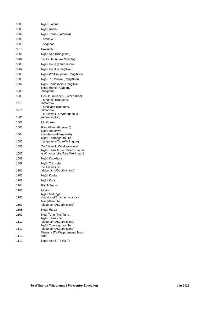| 0805         | Ngā Ruahine                                                                                     |
|--------------|-------------------------------------------------------------------------------------------------|
| 0806         | Ngāti Ruanui                                                                                    |
| 0807         | Ngāti Tama (Taranaki)                                                                           |
| 0808         | Taranaki                                                                                        |
| 0809         | Tangāhoe                                                                                        |
| 0810         | Pakakohi                                                                                        |
| 0901         | Ngāti Apa (Rangitīkei)                                                                          |
| 0902         | Te Ati Haunui-a-Pāpārangi                                                                       |
| 0903         | Ngāti Haua (Taumarunui)                                                                         |
| 0904         | Ngāti Hauiti (Rangitīkei)                                                                       |
| 0905         | Ngāti Whitikaupeka (Rangitīkei)                                                                 |
| 0906         | Ngāi Te Ohuake (Rangitīkei)                                                                     |
| 0907         | Ngāti Tamakōpiri (Rangitīkei)<br>Ngāti Rangi (Ruapehu,                                          |
| 0908         | /hanganui)                                                                                      |
| 0909         | Uenuku (Ruapehu, Waimarino)<br>Tamahaki (Ruapehu,                                               |
| 0910         | (aimarino)<br>Tamakana (Ruapehu,                                                                |
| 0911         | (aimarino)<br>Te Atiawa (Te Whanganui-a-                                                        |
| 1001         | ara/Wellington)                                                                                 |
| 1002         | Muaūpoko                                                                                        |
| 1003         | Rangitāne (Manawatū)<br>Ngāti Raukawa                                                           |
| 1004         | Iorowhenua/Manawatū)<br>Ngāti Toarangatira (Te                                                  |
| 1005         | /hanganui-a-Tara/Wellington)                                                                    |
| 1006<br>1007 | Te Atiawa ki Whakarongotai<br>Ngāti Tama ki Te Upoko o Te Ika<br>e Whanganui-a-Tara/Wellington) |
| 1008         |                                                                                                 |
| 1009         | Ngāti Kauwhata                                                                                  |
| 1101         | Ngāti Tukorehe<br>Te Atiawa (Te<br>aipounamu/South Island)                                      |
| 1102         | Ngāti Koata                                                                                     |
| 1103         | Ngāti Kuia                                                                                      |
| 1104         | Kāti Māmoe                                                                                      |
| 1105         | Moriori                                                                                         |
| 1106         | Ngāti Mutunga<br>Vharekauri/Chatham Islands)                                                    |
| 1107         | Rangitāne (Te<br>/aipounamu/South Island)                                                       |
| 1108         | Ngāti Rārua                                                                                     |
| 1109         | Ngāi Tahu / Kāi Tahu<br>Ngāti Tama (Te                                                          |
| 1110         | /aipounamu/South Island)<br>Ngāti Toarangatira (Te                                              |
| 1111         | 'aipounamu/South Island)<br>Waitaha (Te Waipounamu/South                                        |
| 1112         | land)                                                                                           |
| 1113         | Ngāti Apa ki Te Rā Tō                                                                           |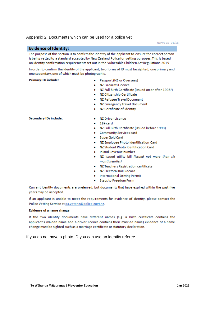#### Appendix 2 Documents which can be used for a police vet

NZPVS-CS-01/18

#### **Evidence of Identity:**

The purpose of this section is to confirm the identity of the applicant to ensure the correct person is being vetted to a standard accepted by New Zealand Police for vetting purposes. This is based on identity confirmation requirements set out in the Vulnerable Children Act Regulations 2015.

In order to confirm the identity of the applicant, two forms of ID must be sighted, one primary and one secondary, one of which must be photographic.

#### **Primary IDs include:**

- Passport (NZ or Overseas)
- NZ Firearms Licence
- NZ Full Birth Certificate (issued on or after 1998<sup>1</sup>)
- · NZ Citizenship Certificate
- NZ Refugee Travel Document
- NZ Emergency Travel Document
- NZ Certificate of Identity

#### Secondary IDs include:

- · N7 Driver Licence
- $\bullet$  18+card
- . NZ Full Birth Certificate (issued before 1998)
- **Community Services card**
- · SuperGold Card
- . NZ Employee Photo Identification Card
- NZ Student Photo Identification Card
- . Inland Revenue number
- . NZ issued utility bill (issued not more than six months earlier)
- · NZ Teachers Registration certificate
- . NZ Electoral Roll Record
- **International Driving Permit**
- Steps to Freedom Form

Current identity documents are preferred, but documents that have expired within the past five years may be accepted.

If an applicant is unable to meet the requirements for evidence of identity, please contact the Police Vetting Service at ga.vetting@police.govt.nz.

#### Evidence of a name change

If the two identity documents have different names (e.g. a birth certificate contains the applicant's maiden name and a driver licence contains their married name) evidence of a name change must be sighted such as a marriage certificate or statutory declaration.

If you do not have a photo ID you can use an identity referee.